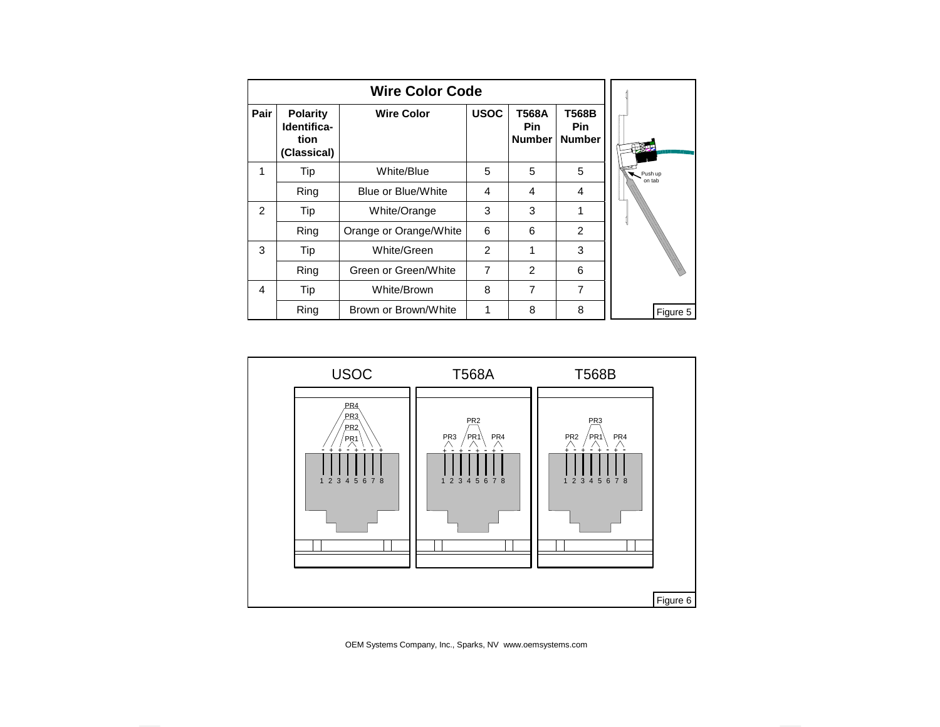| <b>Wire Color Code</b> |                                                       |                        |                |                                      |                                      |                   |
|------------------------|-------------------------------------------------------|------------------------|----------------|--------------------------------------|--------------------------------------|-------------------|
| Pair                   | <b>Polarity</b><br>Identifica-<br>tion<br>(Classical) | <b>Wire Color</b>      | <b>USOC</b>    | T568A<br><b>Pin</b><br><b>Number</b> | T568B<br><b>Pin</b><br><b>Number</b> |                   |
| 1                      | Tip                                                   | White/Blue             | 5              | 5                                    | 5                                    | Push up<br>on tab |
|                        | Ring                                                  | Blue or Blue/White     | $\overline{4}$ | $\overline{4}$                       | 4                                    |                   |
| $\overline{2}$         | Tip                                                   | White/Orange           | 3              | 3                                    | 1                                    |                   |
|                        | Ring                                                  | Orange or Orange/White | 6              | 6                                    | $\overline{2}$                       |                   |
| 3                      | Tip                                                   | White/Green            | $\mathcal{P}$  | 1                                    | 3                                    |                   |
|                        | Ring                                                  | Green or Green/White   | $\overline{7}$ | $\mathcal{P}$                        | 6                                    |                   |
| 4                      | Tip                                                   | White/Brown            | 8              | 7                                    | 7                                    |                   |
|                        | Ring                                                  | Brown or Brown/White   | 1              | 8                                    | 8                                    | Figure 5          |



OEM Systems Company, Inc., Sparks, NV www.oemsystems.com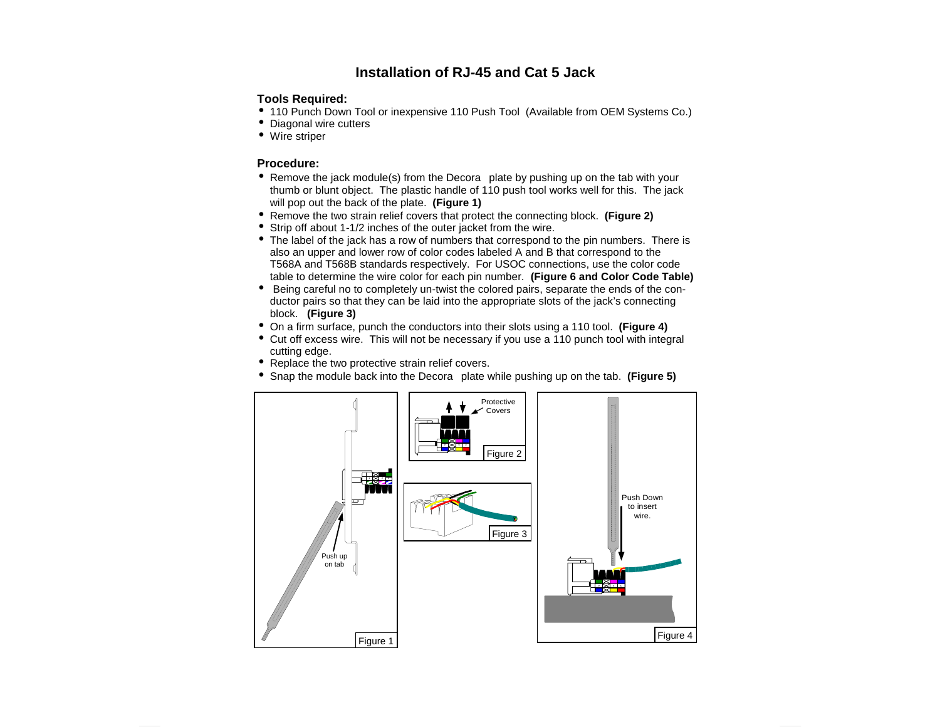### **Installation of RJ-45 and Cat 5 Jack**

#### **Tools Required:**

- 110 Punch Down Tool or inexpensive 110 Push Tool (Available from OEM Systems Co.)
- Diagonal wire cutters
- Wire striper

#### **Procedure:**

- Remove the jack module(s) from the Decora<sup>®</sup> plate by pushing up on the tab with your thumb or blunt object. The plastic handle of 110 push tool works well for this. The jack will pop out the back of the plate. **(Figure 1)**
- Remove the two strain relief covers that protect the connecting block. **(Figure 2)**
- Strip off about 1-1/2 inches of the outer jacket from the wire.
- The label of the jack has a row of numbers that correspond to the pin numbers. There is also an upper and lower row of color codes labeled A and B that correspond to the T568A and T568B standards respectively. For USOC connections, use the color code table to determine the wire color for each pin number. **(Figure 6 and Color Code Table)**
- Being careful no to completely un-twist the colored pairs, separate the ends of the conductor pairs so that they can be laid into the appropriate slots of the jack's connecting block. **(Figure 3)**
- On a firm surface, punch the conductors into their slots using a 110 tool. **(Figure 4)**
- Cut off excess wire. This will not be necessary if you use a 110 punch tool with integral cutting edge.
- Replace the two protective strain relief covers.
- Snap the module back into the Decora<sup>®</sup> plate while pushing up on the tab. (Figure 5)